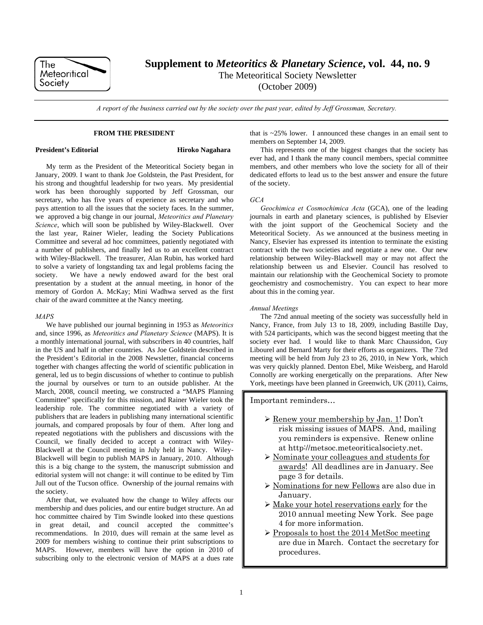

**Supplement to** *Meteoritics & Planetary Science***, vol. 44, no. 9** 

The Meteoritical Society Newsletter

(October 2009)

*A report of the business carried out by the society over the past year, edited by Jeff Grossman, Secretary.* 

### **FROM THE PRESIDENT**

# **President's Editorial Mix Algebra 1986** Hiroko Nagahara

My term as the President of the Meteoritical Society began in January, 2009. I want to thank Joe Goldstein, the Past President, for his strong and thoughtful leadership for two years. My presidential work has been thoroughly supported by Jeff Grossman, our secretary, who has five years of experience as secretary and who pays attention to all the issues that the society faces. In the summer, we approved a big change in our journal, *Meteoritics and Planetary Science*, which will soon be published by Wiley-Blackwell. Over the last year, Rainer Wieler, leading the Society Publications Committee and several ad hoc committees, patiently negotiated with a number of publishers, and finally led us to an excellent contract with Wiley-Blackwell. The treasurer, Alan Rubin, has worked hard to solve a variety of longstanding tax and legal problems facing the society. We have a newly endowed award for the best oral presentation by a student at the annual meeting, in honor of the memory of Gordon A. McKay; Mini Wadhwa served as the first chair of the award committee at the Nancy meeting.

### *MAPS*

We have published our journal beginning in 1953 as *Meteoritics* and, since 1996, as *Meteoritics and Planetary Science* (MAPS). It is a monthly international journal, with subscribers in 40 countries, half in the US and half in other countries. As Joe Goldstein described in the President's Editorial in the 2008 Newsletter, financial concerns together with changes affecting the world of scientific publication in general, led us to begin discussions of whether to continue to publish the journal by ourselves or turn to an outside publisher. At the March, 2008, council meeting, we constructed a "MAPS Planning Committee" specifically for this mission, and Rainer Wieler took the leadership role. The committee negotiated with a variety of publishers that are leaders in publishing many international scientific journals, and compared proposals by four of them. After long and repeated negotiations with the publishers and discussions with the Council, we finally decided to accept a contract with Wiley-Blackwell at the Council meeting in July held in Nancy. Wiley-Blackwell will begin to publish MAPS in January, 2010. Although this is a big change to the system, the manuscript submission and editorial system will not change: it will continue to be edited by Tim Jull out of the Tucson office. Ownership of the journal remains with the society.

After that, we evaluated how the change to Wiley affects our membership and dues policies, and our entire budget structure. An ad hoc committee chaired by Tim Swindle looked into these questions in great detail, and council accepted the committee's recommendations. In 2010, dues will remain at the same level as 2009 for members wishing to continue their print subscriptions to MAPS. However, members will have the option in 2010 of subscribing only to the electronic version of MAPS at a dues rate

that is ~25% lower. I announced these changes in an email sent to members on September 14, 2009.

This represents one of the biggest changes that the society has ever had, and I thank the many council members, special committee members, and other members who love the society for all of their dedicated efforts to lead us to the best answer and ensure the future of the society.

# *GCA*

*Geochimica et Cosmochimica Acta* (GCA), one of the leading journals in earth and planetary sciences, is published by Elsevier with the joint support of the Geochemical Society and the Meteoritical Society. As we announced at the business meeting in Nancy, Elsevier has expressed its intention to terminate the existing contract with the two societies and negotiate a new one. Our new relationship between Wiley-Blackwell may or may not affect the relationship between us and Elsevier. Council has resolved to maintain our relationship with the Geochemical Society to promote geochemistry and cosmochemistry. You can expect to hear more about this in the coming year.

# *Annual Meetings*

The 72nd annual meeting of the society was successfully held in Nancy, France, from July 13 to 18, 2009, including Bastille Day, with 524 participants, which was the second biggest meeting that the society ever had. I would like to thank Marc Chaussidon, Guy Libourel and Bernard Marty for their efforts as organizers. The 73rd meeting will be held from July 23 to 26, 2010, in New York, which was very quickly planned. Denton Ebel, Mike Weisberg, and Harold Connolly are working energetically on the preparations. After New York, meetings have been planned in Greenwich, UK (2011), Cairns,

Important reminders…

- $\triangleright$  <u>Renew your membership by Jan. 1</u>! Don't risk missing issues of MAPS. And, mailing you reminders is expensive. Renew online at http://metsoc.meteoriticalsociety.net.
- Nominate your colleagues and students for awards! All deadlines are in January. See page 3 for details.
- Nominations for new Fellows are also due in January.
- $\triangleright$  Make your hotel reservations early for the 2010 annual meeting New York. See page 4 for more information.
- $\triangleright$  Proposals to host the 2014 MetSoc meeting are due in March. Contact the secretary for procedures.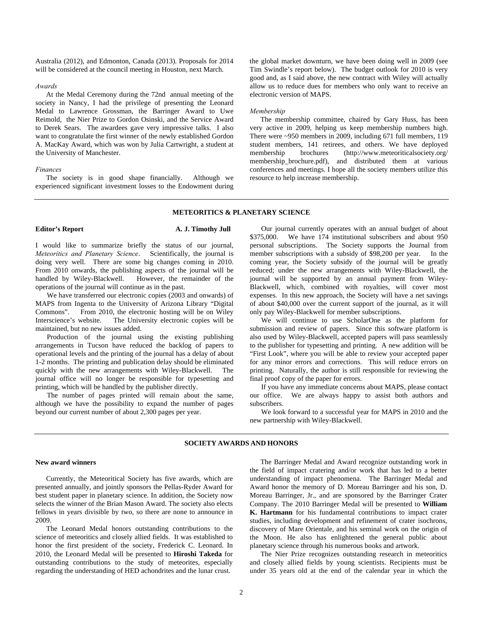Australia (2012), and Edmonton, Canada (2013). Proposals for 2014 will be considered at the council meeting in Houston, next March.

## *Awards*

At the Medal Ceremony during the 72nd annual meeting of the society in Nancy, I had the privilege of presenting the Leonard Medal to Lawrence Grossman, the Barringer Award to Uwe Reimold, the Nier Prize to Gordon Osinski, and the Service Award to Derek Sears. The awardees gave very impressive talks. I also want to congratulate the first winner of the newly established Gordon A. MacKay Award, which was won by Julia Cartwright, a student at the University of Manchester.

# *Finances*

The society is in good shape financially. Although we experienced significant investment losses to the Endowment during the global market downturn, we have been doing well in 2009 (see Tim Swindle's report below). The budget outlook for 2010 is very good and, as I said above, the new contract with Wiley will actually allow us to reduce dues for members who only want to receive an electronic version of MAPS.

#### *Membership*

The membership committee, chaired by Gary Huss, has been very active in 2009, helping us keep membership numbers high. There were ~950 members in 2009, including 671 full members, 119 student members, 141 retirees, and others. We have deployed membership brochures (http://www.meteoriticalsociety.org/ membership\_brochure.pdf), and distributed them at various conferences and meetings. I hope all the society members utilize this resource to help increase membership.

## **METEORITICS & PLANETARY SCIENCE**

## **Editor's Report A. J. Timothy Jull**

I would like to summarize briefly the status of our journal, *Meteoritics and Planetary Science*. Scientifically, the journal is doing very well. There are some big changes coming in 2010. From 2010 onwards, the publishing aspects of the journal will be handled by Wiley-Blackwell. However, the remainder of the operations of the journal will continue as in the past.

We have transferred our electronic copies (2003 and onwards) of MAPS from Ingenta to the University of Arizona Library "Digital Commons". From 2010, the electronic hosting will be on Wiley Interscience's website. The University electronic copies will be maintained, but no new issues added.

Production of the journal using the existing publishing arrangements in Tucson have reduced the backlog of papers to operational levels and the printing of the journal has a delay of about 1-2 months. The printing and publication delay should be eliminated quickly with the new arrangements with Wiley-Blackwell. The journal office will no longer be responsible for typesetting and printing, which will be handled by the publisher directly.

The number of pages printed will remain about the same, although we have the possibility to expand the number of pages beyond our current number of about 2,300 pages per year.

Our journal currently operates with an annual budget of about \$375,000. We have 174 institutional subscribers and about 950 personal subscriptions. The Society supports the Journal from member subscriptions with a subsidy of \$98,200 per year. In the coming year, the Society subsidy of the journal will be greatly reduced; under the new arrangements with Wiley-Blackwell, the journal will be supported by an annual payment from Wiley-Blackwell, which, combined with royalties, will cover most expenses. In this new approach, the Society will have a net savings of about \$40,000 over the current support of the journal, as it will only pay Wiley-Blackwell for member subscriptions.

We will continue to use ScholarOne as the platform for submission and review of papers. Since this software platform is also used by Wiley-Blackwell, accepted papers will pass seamlessly to the publisher for typesetting and printing. A new addition will be "First Look", where you will be able to review your accepted paper for any minor errors and corrections. This will reduce errors on printing. Naturally, the author is still responsible for reviewing the final proof copy of the paper for errors.

If you have any immediate concerns about MAPS, please contact our office. We are always happy to assist both authors and subscribers.

We look forward to a successful year for MAPS in 2010 and the new partnership with Wiley-Blackwell.

## **SOCIETY AWARDS AND HONORS**

#### **New award winners**

Currently, the Meteoritical Society has five awards, which are presented annually, and jointly sponsors the Pellas-Ryder Award for best student paper in planetary science. In addition, the Society now selects the winner of the Brian Mason Award. The society also elects fellows in years divisible by two, so there are none to announce in 2009.

The Leonard Medal honors outstanding contributions to the science of meteoritics and closely allied fields. It was established to honor the first president of the society, Frederick C. Leonard. In 2010, the Leonard Medal will be presented to **Hiroshi Takeda** for outstanding contributions to the study of meteorites, especially regarding the understanding of HED achondrites and the lunar crust.

The Barringer Medal and Award recognize outstanding work in the field of impact cratering and/or work that has led to a better understanding of impact phenomena. The Barringer Medal and Award honor the memory of D. Moreau Barringer and his son, D. Moreau Barringer, Jr., and are sponsored by the Barringer Crater Company. The 2010 Barringer Medal will be presented to **William K. Hartmann** for his fundamental contributions to impact crater studies, including development and refinement of crater isochrons, discovery of Mare Orientale, and his seminal work on the origin of the Moon. He also has enlightened the general public about planetary science through his numerous books and artwork.

The Nier Prize recognizes outstanding research in meteoritics and closely allied fields by young scientists. Recipients must be under 35 years old at the end of the calendar year in which the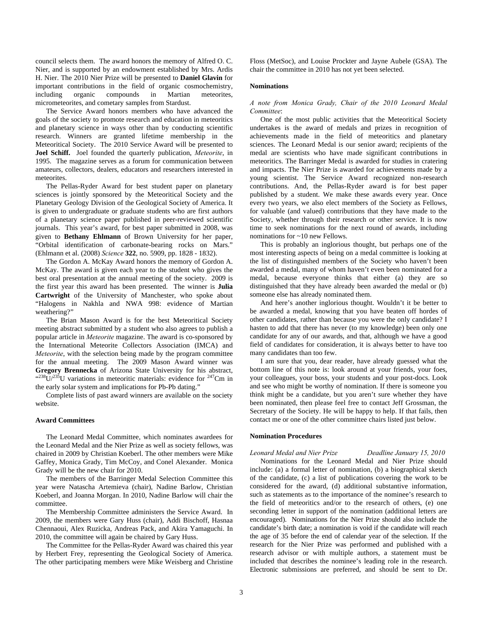council selects them. The award honors the memory of Alfred O. C. Nier, and is supported by an endowment established by Mrs. Ardis H. Nier. The 2010 Nier Prize will be presented to **Daniel Glavin** for important contributions in the field of organic cosmochemistry, including organic compounds in Martian meteorites, micrometeorites, and cometary samples from Stardust.

The Service Award honors members who have advanced the goals of the society to promote research and education in meteoritics and planetary science in ways other than by conducting scientific research. Winners are granted lifetime membership in the Meteoritical Society. The 2010 Service Award will be presented to **Joel Schiff.** Joel founded the quarterly publication, *Meteorite*, in 1995. The magazine serves as a forum for communication between amateurs, collectors, dealers, educators and researchers interested in meteorites.

The Pellas-Ryder Award for best student paper on planetary sciences is jointly sponsored by the Meteoritical Society and the Planetary Geology Division of the Geological Society of America. It is given to undergraduate or graduate students who are first authors of a planetary science paper published in peer-reviewed scientific journals. This year's award, for best paper submitted in 2008, was given to **Bethany Ehlmann** of Brown University for her paper, "Orbital identification of carbonate-bearing rocks on Mars." (Ehlmann et al. (2008) *Science* **322**, no. 5909, pp. 1828 - 1832).

The Gordon A. McKay Award honors the memory of Gordon A. McKay. The award is given each year to the student who gives the best oral presentation at the annual meeting of the society. 2009 is the first year this award has been presented. The winner is **Julia Cartwright** of the University of Manchester, who spoke about "Halogens in Nakhla and NWA 998: evidence of Martian weathering?"

The Brian Mason Award is for the best Meteoritical Society meeting abstract submitted by a student who also agrees to publish a popular article in *Meteorite* magazine. The award is co-sponsored by the International Meteorite Collectors Association (IMCA) and *Meteorite*, with the selection being made by the program committee for the annual meeting. The 2009 Mason Award winner was **Gregory Brennecka** of Arizona State University for his abstract,  $^{(238}$ U/<sup>235</sup>U variations in meteoritic materials: evidence for <sup>247</sup>Cm in the early solar system and implications for Pb-Pb dating."

Complete lists of past award winners are available on the society website.

### **Award Committees**

The Leonard Medal Committee, which nominates awardees for the Leonard Medal and the Nier Prize as well as society fellows, was chaired in 2009 by Christian Koeberl. The other members were Mike Gaffey, Monica Grady, Tim McCoy, and Conel Alexander. Monica Grady will be the new chair for 2010.

The members of the Barringer Medal Selection Committee this year were Natascha Artemieva (chair), Nadine Barlow, Christian Koeberl, and Joanna Morgan. In 2010, Nadine Barlow will chair the committee.

The Membership Committee administers the Service Award. In 2009, the members were Gary Huss (chair), Addi Bischoff, Hasnaa Chennaoui, Alex Ruzicka, Andreas Pack, and Akira Yamaguchi. In 2010, the committee will again be chaired by Gary Huss.

The Committee for the Pellas-Ryder Award was chaired this year by Herbert Frey, representing the Geological Society of America. The other participating members were Mike Weisberg and Christine Floss (MetSoc), and Louise Prockter and Jayne Aubele (GSA). The chair the committee in 2010 has not yet been selected.

### **Nominations**

*A note from Monica Grady, Chair of the 2010 Leonard Medal Committee*:

One of the most public activities that the Meteoritical Society undertakes is the award of medals and prizes in recognition of achievements made in the field of meteoritics and planetary sciences. The Leonard Medal is our senior award; recipients of the medal are scientists who have made significant contributions in meteoritics. The Barringer Medal is awarded for studies in cratering and impacts. The Nier Prize is awarded for achievements made by a young scientist. The Service Award recognized non-research contributions. And, the Pellas-Ryder award is for best paper published by a student. We make these awards every year. Once every two years, we also elect members of the Society as Fellows, for valuable (and valued) contributions that they have made to the Society, whether through their research or other service. It is now time to seek nominations for the next round of awards, including nominations for ~10 new Fellows.

This is probably an inglorious thought, but perhaps one of the most interesting aspects of being on a medal committee is looking at the list of distinguished members of the Society who haven't been awarded a medal, many of whom haven't even been nominated for a medal, because everyone thinks that either (a) they are so distinguished that they have already been awarded the medal or (b) someone else has already nominated them.

And here's another inglorious thought. Wouldn't it be better to be awarded a medal, knowing that you have beaten off hordes of other candidates, rather than because you were the only candidate? I hasten to add that there has never (to my knowledge) been only one candidate for any of our awards, and that, although we have a good field of candidates for consideration, it is always better to have too many candidates than too few.

I am sure that you, dear reader, have already guessed what the bottom line of this note is: look around at your friends, your foes, your colleagues, your boss, your students and your post-docs. Look and see who might be worthy of nomination. If there is someone you think might be a candidate, but you aren't sure whether they have been nominated, then please feel free to contact Jeff Grossman, the Secretary of the Society. He will be happy to help. If that fails, then contact me or one of the other committee chairs listed just below.

# **Nomination Procedures**

#### *Leonard Medal and Nier Prize Deadline January 15, 2010*

Nominations for the Leonard Medal and Nier Prize should include: (a) a formal letter of nomination, (b) a biographical sketch of the candidate, (c) a list of publications covering the work to be considered for the award, (d) additional substantive information, such as statements as to the importance of the nominee's research to the field of meteoritics and/or to the research of others, (e) one seconding letter in support of the nomination (additional letters are encouraged). Nominations for the Nier Prize should also include the candidate's birth date; a nomination is void if the candidate will reach the age of 35 before the end of calendar year of the selection. If the research for the Nier Prize was performed and published with a research advisor or with multiple authors, a statement must be included that describes the nominee's leading role in the research. Electronic submissions are preferred, and should be sent to Dr.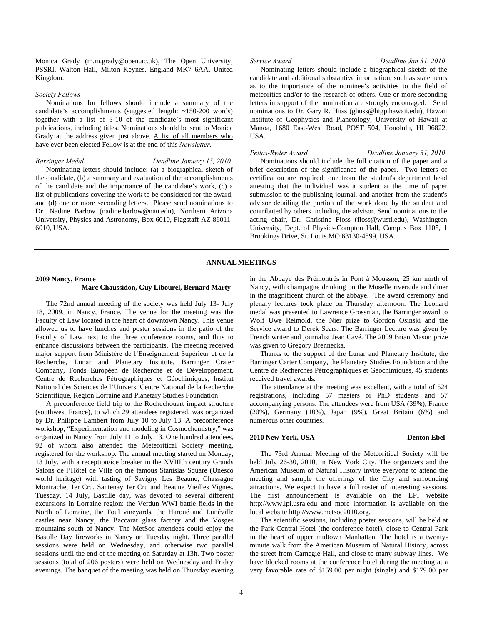Monica Grady (m.m.grady@open.ac.uk), The Open University, PSSRI, Walton Hall, Milton Keynes, England MK7 6AA, United Kingdom.

## *Society Fellows*

Nominations for fellows should include a summary of the candidate's accomplishments (suggested length: ~150-200 words) together with a list of 5-10 of the candidate's most significant publications, including titles. Nominations should be sent to Monica Grady at the address given just above. A list of all members who have ever been elected Fellow is at the end of this *Newsletter*.

# *Barringer Medal Deadline January 15, 2010*

Nominating letters should include: (a) a biographical sketch of the candidate, (b) a summary and evaluation of the accomplishments of the candidate and the importance of the candidate's work, (c) a list of publications covering the work to be considered for the award, and (d) one or more seconding letters. Please send nominations to Dr. Nadine Barlow (nadine.barlow@nau.edu), Northern Arizona University, Physics and Astronomy, Box 6010, Flagstaff AZ 86011- 6010, USA.

*Service Award Deadline Jan 31, 2010* 

Nominating letters should include a biographical sketch of the candidate and additional substantive information, such as statements as to the importance of the nominee's activities to the field of meteoritics and/or to the research of others. One or more seconding letters in support of the nomination are strongly encouraged. Send nominations to Dr. Gary R. Huss (ghuss@higp.hawaii.edu), Hawaii Institute of Geophysics and Planetology, University of Hawaii at Manoa, 1680 East-West Road, POST 504, Honolulu, HI 96822, USA.

#### *Pellas-Ryder Award Deadline January 31, 2010*

Nominations should include the full citation of the paper and a brief description of the significance of the paper. Two letters of certification are required, one from the student's department head attesting that the individual was a student at the time of paper submission to the publishing journal, and another from the student's advisor detailing the portion of the work done by the student and contributed by others including the advisor. Send nominations to the acting chair, Dr. Christine Floss (floss@wustl.edu), Washington University, Dept. of Physics-Compton Hall, Campus Box 1105, 1 Brookings Drive, St. Louis MO 63130-4899, USA.

### **ANNUAL MEETINGS**

# **2009 Nancy, France Marc Chaussidon, Guy Libourel, Bernard Marty**

The 72nd annual meeting of the society was held July 13- July 18, 2009, in Nancy, France. The venue for the meeting was the Faculty of Law located in the heart of downtown Nancy. This venue allowed us to have lunches and poster sessions in the patio of the Faculty of Law next to the three conference rooms, and thus to enhance discussions between the participants. The meeting received major support from Ministère de l'Enseignement Supérieur et de la Recherche, Lunar and Planetary Institute, Barringer Crater Company, Fonds Européen de Recherche et de Développement, Centre de Recherches Pétrographiques et Géochimiques, Institut National des Sciences de l'Univers, Centre National de la Recherche Scientifique, Région Lorraine and Planetary Studies Foundation.

A preconference field trip to the Rochechouart impact structure (southwest France), to which 29 attendees registered, was organized by Dr. Philippe Lambert from July 10 to July 13. A preconference workshop, "Experimentation and modeling in Cosmochemistry," was organized in Nancy from July 11 to July 13. One hundred attendees, 92 of whom also attended the Meteoritical Society meeting, registered for the workshop. The annual meeting started on Monday, 13 July, with a reception/ice breaker in the XVIIIth century Grands Salons de l'Hôtel de Ville on the famous Stanislas Square (Unesco world heritage) with tasting of Savigny Les Beaune, Chassagne Montrachet 1er Cru, Santenay 1er Cru and Beaune Vieilles Vignes. Tuesday, 14 July, Bastille day, was devoted to several different excursions in Lorraine region: the Verdun WWI battle fields in the North of Lorraine, the Toul vineyards, the Haroué and Lunéville castles near Nancy, the Baccarat glass factory and the Vosges mountains south of Nancy. The MetSoc attendees could enjoy the Bastille Day fireworks in Nancy on Tuesday night. Three parallel sessions were held on Wednesday, and otherwise two parallel sessions until the end of the meeting on Saturday at 13h. Two poster sessions (total of 206 posters) were held on Wednesday and Friday evenings. The banquet of the meeting was held on Thursday evening in the Abbaye des Prémontrés in Pont à Mousson, 25 km north of Nancy, with champagne drinking on the Moselle riverside and diner in the magnificent church of the abbaye. The award ceremony and plenary lectures took place on Thursday afternoon. The Leonard medal was presented to Lawrence Grossman, the Barringer award to Wolf Uwe Reimold, the Nier prize to Gordon Osinski and the Service award to Derek Sears. The Barringer Lecture was given by French writer and journalist Jean Cavé. The 2009 Brian Mason prize was given to Gregory Brennecka.

Thanks to the support of the Lunar and Planetary Institute, the Barringer Carter Company, the Planetary Studies Foundation and the Centre de Recherches Pétrographiques et Géochimiques, 45 students received travel awards.

The attendance at the meeting was excellent, with a total of 524 registrations, including 57 masters or PhD students and 57 accompanying persons. The attendees were from USA (39%), France (20%), Germany (10%), Japan (9%), Great Britain (6%) and numerous other countries.

# **2010 New York, USA Denton Ebel**

The 73rd Annual Meeting of the Meteoritical Society will be held July 26-30, 2010, in New York City. The organizers and the American Museum of Natural History invite everyone to attend the meeting and sample the offerings of the City and surrounding attractions. We expect to have a full roster of interesting sessions. The first announcement is available on the LPI website http://www.lpi.usra.edu and more information is available on the local website http://www.metsoc2010.org.

The scientific sessions, including poster sessions, will be held at the Park Central Hotel (the conference hotel), close to Central Park in the heart of upper midtown Manhattan. The hotel is a twentyminute walk from the American Museum of Natural History, across the street from Carnegie Hall, and close to many subway lines. We have blocked rooms at the conference hotel during the meeting at a very favorable rate of \$159.00 per night (single) and \$179.00 per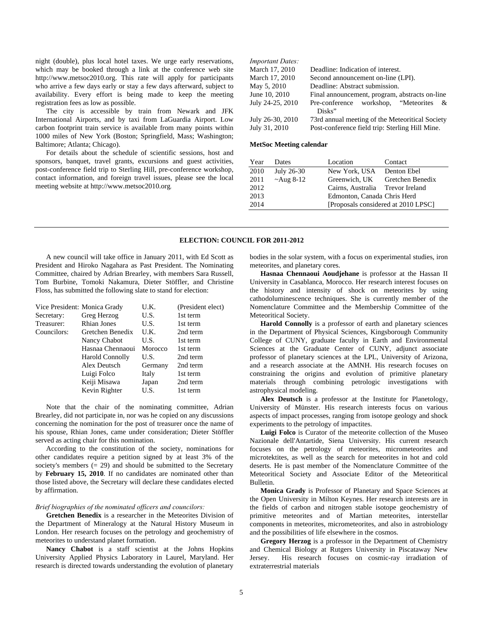night (double), plus local hotel taxes. We urge early reservations, which may be booked through a link at the conference web site http://www.metsoc2010.org. This rate will apply for participants who arrive a few days early or stay a few days afterward, subject to availability. Every effort is being made to keep the meeting registration fees as low as possible.

The city is accessible by train from Newark and JFK International Airports, and by taxi from LaGuardia Airport. Low carbon footprint train service is available from many points within 1000 miles of New York (Boston; Springfield, Mass; Washington; Baltimore; Atlanta; Chicago).

For details about the schedule of scientific sessions, host and sponsors, banquet, travel grants, excursions and guest activities, post-conference field trip to Sterling Hill, pre-conference workshop, contact information, and foreign travel issues, please see the local meeting website at http://www.metsoc2010.org*.* 

*Important Dates:*  March 17, 2010 Deadline: Indication of interest. March 17, 2010 Second announcement on-line (LPI). May 5, 2010 Deadline: Abstract submission. June 10, 2010 Final announcement, program, abstracts on-line July 24-25, 2010 Pre-conference workshop, "Meteorites & Disks" July 26-30, 2010 73rd annual meeting of the Meteoritical Society July 31, 2010 Post-conference field trip: Sterling Hill Mine.

# **MetSoc Meeting calendar**

| Year | Dates            | Location                            | Contact          |  |  |
|------|------------------|-------------------------------------|------------------|--|--|
| 2010 | July 26-30       | New York, USA                       | Denton Ebel      |  |  |
| 2011 | $~\sim$ Aug 8-12 | Greenwich, UK                       | Gretchen Benedix |  |  |
| 2012 |                  | Cairns, Australia Trevor Ireland    |                  |  |  |
| 2013 |                  | Edmonton, Canada Chris Herd         |                  |  |  |
| 2014 |                  | [Proposals considered at 2010 LPSC] |                  |  |  |

### **ELECTION: COUNCIL FOR 2011-2012**

A new council will take office in January 2011, with Ed Scott as President and Hiroko Nagahara as Past President. The Nominating Committee, chaired by Adrian Brearley, with members Sara Russell, Tom Burbine, Tomoki Nakamura, Dieter Stöffler, and Christine Floss, has submitted the following slate to stand for election:

| Vice President: Monica Grady |                        | U.K.    | (President elect) |
|------------------------------|------------------------|---------|-------------------|
| Secretary:                   | Greg Herzog            | U.S.    | 1st term          |
| Treasurer:                   | <b>Rhian Jones</b>     | U.S.    | 1st term          |
| Councilors:                  | Gretchen Benedix       | U.K.    | 2nd term          |
|                              | Nancy Chabot           | U.S.    | 1st term          |
|                              | Hasnaa Chennaoui       | Morocco | 1st term          |
|                              | <b>Harold Connolly</b> | U.S.    | 2nd term          |
|                              | Alex Deutsch           | Germany | 2nd term          |
|                              | Luigi Folco            | Italy   | 1st term          |
|                              | Keiji Misawa           | Japan   | 2nd term          |
|                              | Kevin Righter          | U.S.    | 1st term          |

Note that the chair of the nominating committee, Adrian Brearley, did not participate in, nor was he copied on any discussions concerning the nomination for the post of treasurer once the name of his spouse, Rhian Jones, came under consideration; Dieter Stöffler served as acting chair for this nomination.

According to the constitution of the society, nominations for other candidates require a petition signed by at least 3% of the society's members  $(= 29)$  and should be submitted to the Secretary by **February 15, 2010**. If no candidates are nominated other than those listed above, the Secretary will declare these candidates elected by affirmation.

# *Brief biographies of the nominated officers and councilors:*

**Gretchen Benedix** is a researcher in the Meteorites Division of the Department of Mineralogy at the Natural History Museum in London. Her research focuses on the petrology and geochemistry of meteorites to understand planet formation.

**Nancy Chabot** is a staff scientist at the Johns Hopkins University Applied Physics Laboratory in Laurel, Maryland. Her research is directed towards understanding the evolution of planetary bodies in the solar system, with a focus on experimental studies, iron meteorites, and planetary cores.

**Hasnaa Chennaoui Aoudjehane** is professor at the Hassan II University in Casablanca, Morocco. Her research interest focuses on the history and intensity of shock on meteorites by using cathodoluminescence techniques. She is currently member of the Nomenclature Committee and the Membership Committee of the Meteoritical Society.

**Harold Connolly** is a professor of earth and planetary sciences in the Department of Physical Sciences, Kingsborough Community College of CUNY, graduate faculty in Earth and Environmental Sciences at the Graduate Center of CUNY, adjunct associate professor of planetary sciences at the LPL, University of Arizona, and a research associate at the AMNH. His research focuses on constraining the origins and evolution of primitive planetary materials through combining petrologic investigations with astrophysical modeling.

**Alex Deutsch** is a professor at the Institute for Planetology, University of Münster. His research interests focus on various aspects of impact processes, ranging from isotope geology and shock experiments to the petrology of impactites.

**Luigi Folco** is Curator of the meteorite collection of the Museo Nazionale dell'Antartide, Siena University. His current research focuses on the petrology of meteorites, micrometeorites and microtektites, as well as the search for meteorites in hot and cold deserts. He is past member of the Nomenclature Committee of the Meteoritical Society and Associate Editor of the Meteoritical Bulletin.

**Monica Grady** is Professor of Planetary and Space Sciences at the Open University in Milton Keynes. Her research interests are in the fields of carbon and nitrogen stable isotope geochemistry of primitive meteorites and of Martian meteorites, interstellar components in meteorites, micrometeorites, and also in astrobiology and the possibilities of life elsewhere in the cosmos.

**Gregory Herzog** is a professor in the Department of Chemistry and Chemical Biology at Rutgers University in Piscataway New Jersey. His research focuses on cosmic-ray irradiation of extraterrestrial materials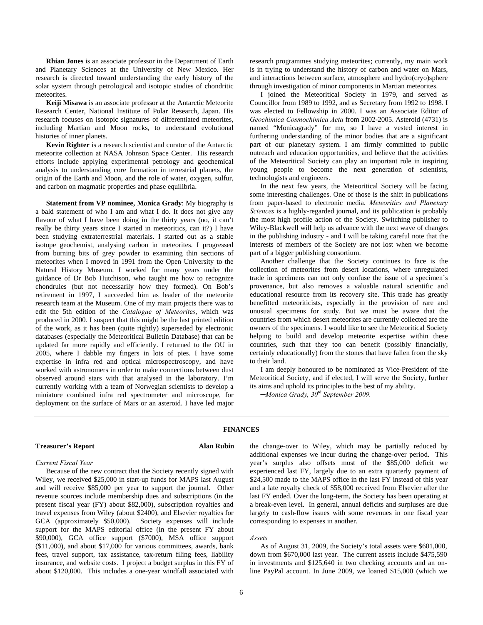**Rhian Jones** is an associate professor in the Department of Earth and Planetary Sciences at the University of New Mexico. Her research is directed toward understanding the early history of the solar system through petrological and isotopic studies of chondritic meteorites.

**Keiji Misawa** is an associate professor at the Antarctic Meteorite Research Center, National Institute of Polar Research, Japan. His research focuses on isotopic signatures of differentiated meteorites, including Martian and Moon rocks, to understand evolutional histories of inner planets.

**Kevin Righter** is a research scientist and curator of the Antarctic meteorite collection at NASA Johnson Space Center. His research efforts include applying experimental petrology and geochemical analysis to understanding core formation in terrestrial planets, the origin of the Earth and Moon, and the role of water, oxygen, sulfur, and carbon on magmatic properties and phase equilibria.

**Statement from VP nominee, Monica Grady**: My biography is a bald statement of who I am and what I do. It does not give any flavour of what I have been doing in the thirty years (no, it can't really be thirty years since I started in meteoritics, can it?) I have been studying extraterrestrial materials. I started out as a stable isotope geochemist, analysing carbon in meteorites. I progressed from burning bits of grey powder to examining thin sections of meteorites when I moved in 1991 from the Open University to the Natural History Museum. I worked for many years under the guidance of Dr Bob Hutchison, who taught me how to recognize chondrules (but not necessarily how they formed). On Bob's retirement in 1997, I succeeded him as leader of the meteorite research team at the Museum. One of my main projects there was to edit the 5th edition of the *Catalogue of Meteorites*, which was produced in 2000. I suspect that this might be the last printed edition of the work, as it has been (quite rightly) superseded by electronic databases (especially the Meteoritical Bulletin Database) that can be updated far more rapidly and efficiently. I returned to the OU in 2005, where I dabble my fingers in lots of pies. I have some expertise in infra red and optical microspectroscopy, and have worked with astronomers in order to make connections between dust observed around stars with that analysed in the laboratory. I'm currently working with a team of Norwegian scientists to develop a miniature combined infra red spectrometer and microscope, for deployment on the surface of Mars or an asteroid. I have led major research programmes studying meteorites; currently, my main work is in trying to understand the history of carbon and water on Mars, and interactions between surface, atmosphere and hydro(cryo)sphere through investigation of minor components in Martian meteorites.

I joined the Meteoritical Society in 1979, and served as Councillor from 1989 to 1992, and as Secretary from 1992 to 1998. I was elected to Fellowship in 2000. I was an Associate Editor of *Geochimica Cosmochimica Acta* from 2002-2005. Asteroid (4731) is named "Monicagrady" for me, so I have a vested interest in furthering understanding of the minor bodies that are a significant part of our planetary system. I am firmly committed to public outreach and education opportunities, and believe that the activities of the Meteoritical Society can play an important role in inspiring young people to become the next generation of scientists, technologists and engineers.

In the next few years, the Meteoritical Society will be facing some interesting challenges. One of those is the shift in publications from paper-based to electronic media. *Meteoritics and Planetary Sciences* is a highly-regarded journal, and its publication is probably the most high profile action of the Society. Switching publisher to Wiley-Blackwell will help us advance with the next wave of changes in the publishing industry - and I will be taking careful note that the interests of members of the Society are not lost when we become part of a bigger publishing consortium.

Another challenge that the Society continues to face is the collection of meteorites from desert locations, where unregulated trade in specimens can not only confuse the issue of a specimen's provenance, but also removes a valuable natural scientific and educational resource from its recovery site. This trade has greatly benefitted meteoriticists, especially in the provision of rare and unusual specimens for study. But we must be aware that the countries from which desert meteorites are currently collected are the owners of the specimens. I would like to see the Meteoritical Society helping to build and develop meteorite expertise within these countries, such that they too can benefit (possibly financially, certainly educationally) from the stones that have fallen from the sky to their land.

I am deeply honoured to be nominated as Vice-President of the Meteoritical Society, and if elected, I will serve the Society, further its aims and uphold its principles to the best of my ability.

*─Monica Grady, 30th September 2009.* 

## **Treasurer's Report Alan Rubin**

**FINANCES** 

*Current Fiscal Year* 

Because of the new contract that the Society recently signed with Wiley, we received \$25,000 in start-up funds for MAPS last August and will receive \$85,000 per year to support the journal. Other revenue sources include membership dues and subscriptions (in the present fiscal year (FY) about \$82,000), subscription royalties and travel expenses from Wiley (about \$2400), and Elsevier royalties for GCA (approximately \$50,000). Society expenses will include support for the MAPS editorial office (in the present FY about \$90,000), GCA office support (\$7000), MSA office support (\$11,000), and about \$17,000 for various committees, awards, bank fees, travel support, tax assistance, tax-return filing fees, liability insurance, and website costs. I project a budget surplus in this FY of about \$120,000. This includes a one-year windfall associated with the change-over to Wiley, which may be partially reduced by additional expenses we incur during the change-over period. This year's surplus also offsets most of the \$85,000 deficit we experienced last FY, largely due to an extra quarterly payment of \$24,500 made to the MAPS office in the last FY instead of this year and a late royalty check of \$58,000 received from Elsevier after the last FY ended. Over the long-term, the Society has been operating at a break-even level. In general, annual deficits and surpluses are due largely to cash-flow issues with some revenues in one fiscal year corresponding to expenses in another.

#### *Assets*

As of August 31, 2009, the Society's total assets were \$601,000, down from \$670,000 last year. The current assets include \$475,590 in investments and \$125,640 in two checking accounts and an online PayPal account. In June 2009, we loaned \$15,000 (which we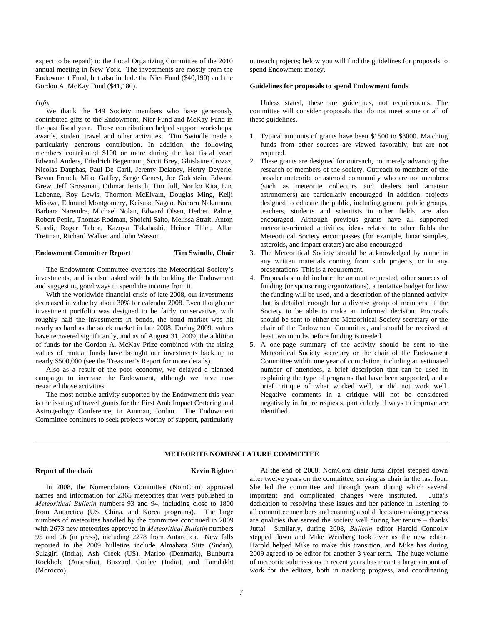expect to be repaid) to the Local Organizing Committee of the 2010 annual meeting in New York. The investments are mostly from the Endowment Fund, but also include the Nier Fund (\$40,190) and the Gordon A. McKay Fund (\$41,180).

*Gifts* 

We thank the 149 Society members who have generously contributed gifts to the Endowment, Nier Fund and McKay Fund in the past fiscal year. These contributions helped support workshops, awards, student travel and other activities. Tim Swindle made a particularly generous contribution. In addition, the following members contributed \$100 or more during the last fiscal year: Edward Anders, Friedrich Begemann, Scott Brey, Ghislaine Crozaz, Nicolas Dauphas, Paul De Carli, Jeremy Delaney, Henry Deyerle, Bevan French, Mike Gaffey, Serge Genest, Joe Goldstein, Edward Grew, Jeff Grossman, Othmar Jentsch, Tim Jull, Noriko Kita, Luc Labenne, Roy Lewis, Thornton McElvain, Douglas Ming, Keiji Misawa, Edmund Montgomery, Keisuke Nagao, Noboru Nakamura, Barbara Narendra, Michael Nolan, Edward Olsen, Herbert Palme, Robert Pepin, Thomas Rodman, Shoichi Saito, Melissa Strait, Anton Stuedi, Roger Tabor, Kazuya Takahashi, Heiner Thiel, Allan Treiman, Richard Walker and John Wasson.

# **Endowment Committee Report Tim Swindle, Chair**

The Endowment Committee oversees the Meteoritical Society's investments, and is also tasked with both building the Endowment and suggesting good ways to spend the income from it.

With the worldwide financial crisis of late 2008, our investments decreased in value by about 30% for calendar 2008. Even though our investment portfolio was designed to be fairly conservative, with roughly half the investments in bonds, the bond market was hit nearly as hard as the stock market in late 2008. During 2009, values have recovered significantly, and as of August 31, 2009, the addition of funds for the Gordon A. McKay Prize combined with the rising values of mutual funds have brought our investments back up to nearly \$500,000 (see the Treasurer's Report for more details).

Also as a result of the poor economy, we delayed a planned campaign to increase the Endowment, although we have now restarted those activities.

The most notable activity supported by the Endowment this year is the issuing of travel grants for the First Arab Impact Cratering and Astrogeology Conference, in Amman, Jordan. The Endowment Committee continues to seek projects worthy of support, particularly outreach projects; below you will find the guidelines for proposals to spend Endowment money.

# **Guidelines for proposals to spend Endowment funds**

Unless stated, these are guidelines, not requirements. The committee will consider proposals that do not meet some or all of these guidelines.

- 1. Typical amounts of grants have been \$1500 to \$3000. Matching funds from other sources are viewed favorably, but are not required.
- 2. These grants are designed for outreach, not merely advancing the research of members of the society. Outreach to members of the broader meteorite or asteroid community who are not members (such as meteorite collectors and dealers and amateur astronomers) are particularly encouraged. In addition, projects designed to educate the public, including general public groups, teachers, students and scientists in other fields, are also encouraged. Although previous grants have all supported meteorite-oriented activities, ideas related to other fields the Meteoritical Society encompasses (for example, lunar samples, asteroids, and impact craters) are also encouraged.
- 3. The Meteoritical Society should be acknowledged by name in any written materials coming from such projects, or in any presentations. This is a requirement.
- 4. Proposals should include the amount requested, other sources of funding (or sponsoring organizations), a tentative budget for how the funding will be used, and a description of the planned activity that is detailed enough for a diverse group of members of the Society to be able to make an informed decision. Proposals should be sent to either the Meteoritical Society secretary or the chair of the Endowment Committee, and should be received at least two months before funding is needed.
- 5. A one-page summary of the activity should be sent to the Meteoritical Society secretary or the chair of the Endowment Committee within one year of completion, including an estimated number of attendees, a brief description that can be used in explaining the type of programs that have been supported, and a brief critique of what worked well, or did not work well. Negative comments in a critique will not be considered negatively in future requests, particularly if ways to improve are identified.

### **METEORITE NOMENCLATURE COMMITTEE**

#### **Report of the chair** Kevin Righter

In 2008, the Nomenclature Committee (NomCom) approved names and information for 2365 meteorites that were published in *Meteoritical Bulletin* numbers 93 and 94, including close to 1800 from Antarctica (US, China, and Korea programs). The large numbers of meteorites handled by the committee continued in 2009 with 2673 new meteorites approved in *Meteoritical Bulletin* numbers 95 and 96 (in press), including 2278 from Antarctica. New falls reported in the 2009 bulletins include Almahata Sitta (Sudan), Sulagiri (India), Ash Creek (US), Maribo (Denmark), Bunburra Rockhole (Australia), Buzzard Coulee (India), and Tamdakht (Morocco).

At the end of 2008, NomCom chair Jutta Zipfel stepped down after twelve years on the committee, serving as chair in the last four. She led the committee and through years during which several important and complicated changes were instituted. Jutta's dedication to resolving these issues and her patience in listening to all committee members and ensuring a solid decision-making process are qualities that served the society well during her tenure – thanks Jutta! Similarly, during 2008, *Bulletin* editor Harold Connolly stepped down and Mike Weisberg took over as the new editor. Harold helped Mike to make this transition, and Mike has during 2009 agreed to be editor for another 3 year term. The huge volume of meteorite submissions in recent years has meant a large amount of work for the editors, both in tracking progress, and coordinating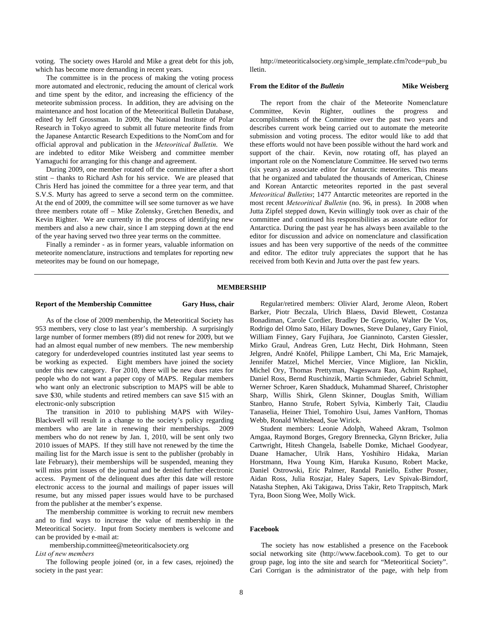voting. The society owes Harold and Mike a great debt for this job, which has become more demanding in recent years.

The committee is in the process of making the voting process more automated and electronic, reducing the amount of clerical work and time spent by the editor, and increasing the efficiency of the meteorite submission process. In addition, they are advising on the maintenance and host location of the Meteoritical Bulletin Database, edited by Jeff Grossman. In 2009, the National Institute of Polar Research in Tokyo agreed to submit all future meteorite finds from the Japanese Antarctic Research Expeditions to the NomCom and for official approval and publication in the *Meteoritical Bulletin*. We are indebted to editor Mike Weisberg and committee member Yamaguchi for arranging for this change and agreement.

During 2009, one member rotated off the committee after a short stint – thanks to Richard Ash for his service. We are pleased that Chris Herd has joined the committee for a three year term, and that S.V.S. Murty has agreed to serve a second term on the committee. At the end of 2009, the committee will see some turnover as we have three members rotate off – Mike Zolensky, Gretchen Benedix, and Kevin Righter. We are currently in the process of identifying new members and also a new chair, since I am stepping down at the end of the year having served two three year terms on the committee.

Finally a reminder - as in former years, valuable information on meteorite nomenclature, instructions and templates for reporting new meteorites may be found on our homepage,

http://meteoriticalsociety.org/simple\_template.cfm?code=pub\_bu lletin.

## **From the Editor of the** *Bulletin* **Mike Weisberg**

The report from the chair of the Meteorite Nomenclature Committee, Kevin Righter, outlines the progress and accomplishments of the Committee over the past two years and describes current work being carried out to automate the meteorite submission and voting process. The editor would like to add that these efforts would not have been possible without the hard work and support of the chair. Kevin, now rotating off, has played an important role on the Nomenclature Committee. He served two terms (six years) as associate editor for Antarctic meteorites. This means that he organized and tabulated the thousands of American, Chinese and Korean Antarctic meteorites reported in the past several *Meteoritical Bulletins*; 1477 Antarctic meteorites are reported in the most recent *Meteoritical Bulletin* (no. 96, in press). In 2008 when Jutta Zipfel stepped down, Kevin willingly took over as chair of the committee and continued his responsibilities as associate editor for Antarctica. During the past year he has always been available to the editor for discussion and advice on nomenclature and classification issues and has been very supportive of the needs of the committee and editor. The editor truly appreciates the support that he has received from both Kevin and Jutta over the past few years.

# **MEMBERSHIP**

# **Report of the Membership Committee Gary Huss, chair**

As of the close of 2009 membership, the Meteoritical Society has 953 members, very close to last year's membership. A surprisingly large number of former members (89) did not renew for 2009, but we had an almost equal number of new members. The new membership category for underdeveloped countries instituted last year seems to be working as expected. Eight members have joined the society under this new category. For 2010, there will be new dues rates for people who do not want a paper copy of MAPS. Regular members who want only an electronic subscription to MAPS will be able to save \$30, while students and retired members can save \$15 with an electronic-only subscription

The transition in 2010 to publishing MAPS with Wiley-Blackwell will result in a change to the society's policy regarding members who are late in renewing their memberships. 2009 members who do not renew by Jan. 1, 2010, will be sent only two 2010 issues of MAPS. If they still have not renewed by the time the mailing list for the March issue is sent to the publisher (probably in late February), their memberships will be suspended, meaning they will miss print issues of the journal and be denied further electronic access. Payment of the delinquent dues after this date will restore electronic access to the journal and mailings of paper issues will resume, but any missed paper issues would have to be purchased from the publisher at the member's expense.

The membership committee is working to recruit new members and to find ways to increase the value of membership in the Meteoritical Society. Input from Society members is welcome and can be provided by e-mail at:

membership.committee@meteoriticalsociety.org

## *List of new members*

The following people joined (or, in a few cases, rejoined) the society in the past year:

Regular/retired members: Olivier Alard, Jerome Aleon, Robert Barker, Piotr Beczala, Ulrich Blaess, David Blewett, Costanza Bonadiman, Carole Cordier, Bradley De Gregorio, Walter De Vos, Rodrigo del Olmo Sato, Hilary Downes, Steve Dulaney, Gary Finiol, William Finney, Gary Fujihara, Joe Gianninoto, Carsten Giessler, Mirko Graul, Andreas Gren, Lutz Hecht, Dirk Hohmann, Steen Jelgren, André Knöfel, Philippe Lambert, Chi Ma, Eric Mamajek, Jennifer Matzel, Michel Mercier, Vince Migliore, Ian Nicklin, Michel Ory, Thomas Prettyman, Nageswara Rao, Achim Raphael, Daniel Ross, Bernd Ruschinzik, Martin Schmieder, Gabriel Schmitt, Werner Schroer, Karen Shadduck, Muhammad Shareef, Christopher Sharp, Willis Shirk, Glenn Skinner, Douglas Smith, William Stanbro, Hanno Strufe, Robert Sylvia, Kimberly Tait, Claudiu Tanaselia, Heiner Thiel, Tomohiro Usui, James VanHorn, Thomas Webb, Ronald Whitehead, Sue Wirick.

Student members: Leonie Adolph, Waheed Akram, Tsolmon Amgaa, Raymond Borges, Gregory Brennecka, Glynn Bricker, Julia Cartwright, Hitesh Changela, Isabelle Domke, Michael Goodyear, Duane Hamacher, Ulrik Hans, Yoshihiro Hidaka, Marian Horstmann, Hwa Young Kim, Haruka Kusuno, Robert Macke, Daniel Ostrowski, Eric Palmer, Randal Paniello, Esther Posner, Aidan Ross, Julia Roszjar, Haley Sapers, Lev Spivak-Birndorf, Natasha Stephen, Aki Takigawa, Driss Takir, Reto Trappitsch, Mark Tyra, Boon Siong Wee, Molly Wick.

# **Facebook**

The society has now established a presence on the Facebook social networking site (http://www.facebook.com). To get to our group page, log into the site and search for "Meteoritical Society". Cari Corrigan is the administrator of the page, with help from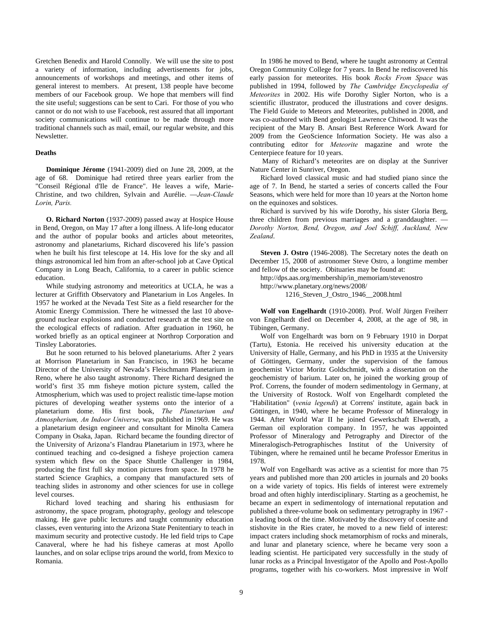Gretchen Benedix and Harold Connolly. We will use the site to post a variety of information, including advertisements for jobs, announcements of workshops and meetings, and other items of general interest to members. At present, 138 people have become members of our Facebook group. We hope that members will find the site useful; suggestions can be sent to Cari. For those of you who cannot or do not wish to use Facebook, rest assured that all important society communications will continue to be made through more traditional channels such as mail, email, our regular website, and this Newsletter.

# **Deaths**

**Dominique Jérome** (1941-2009) died on June 28, 2009, at the age of 68. Dominique had retired three years earlier from the "Conseil Régional d'Ile de France". He leaves a wife, Marie-Christine, and two children, Sylvain and Aurélie. —*Jean-Claude Lorin, Paris.*

**O. Richard Norton** (1937-2009) passed away at Hospice House in Bend, Oregon, on May 17 after a long illness. A life-long educator and the author of popular books and articles about meteorites, astronomy and planetariums, Richard discovered his life's passion when he built his first telescope at 14. His love for the sky and all things astronomical led him from an after-school job at Cave Optical Company in Long Beach, California, to a career in public science education.

While studying astronomy and meteoritics at UCLA, he was a lecturer at Griffith Observatory and Planetarium in Los Angeles. In 1957 he worked at the Nevada Test Site as a field researcher for the Atomic Energy Commission. There he witnessed the last 10 aboveground nuclear explosions and conducted research at the test site on the ecological effects of radiation. After graduation in 1960, he worked briefly as an optical engineer at Northrop Corporation and Tinsley Laboratories.

But he soon returned to his beloved planetariums. After 2 years at Morrison Planetarium in San Francisco, in 1963 he became Director of the University of Nevada's Fleischmann Planetarium in Reno, where he also taught astronomy. There Richard designed the world's first 35 mm fisheye motion picture system, called the Atmospherium, which was used to project realistic time-lapse motion pictures of developing weather systems onto the interior of a planetarium dome. His first book, *The Planetarium and Atmospherium, An Indoor Universe*, was published in 1969. He was a planetarium design engineer and consultant for Minolta Camera Company in Osaka, Japan. Richard became the founding director of the University of Arizona's Flandrau Planetarium in 1973, where he continued teaching and co-designed a fisheye projection camera system which flew on the Space Shuttle Challenger in 1984, producing the first full sky motion pictures from space. In 1978 he started Science Graphics, a company that manufactured sets of teaching slides in astronomy and other sciences for use in college level courses.

Richard loved teaching and sharing his enthusiasm for astronomy, the space program, photography, geology and telescope making. He gave public lectures and taught community education classes, even venturing into the Arizona State Penitentiary to teach in maximum security and protective custody. He led field trips to Cape Canaveral, where he had his fisheye cameras at most Apollo launches, and on solar eclipse trips around the world, from Mexico to Romania.

In 1986 he moved to Bend, where he taught astronomy at Central Oregon Community College for 7 years. In Bend he rediscovered his early passion for meteorites. His book *Rocks From Space* was published in 1994, followed by *The Cambridge Encyclopedia of Meteorites* in 2002. His wife Dorothy Sigler Norton, who is a scientific illustrator, produced the illustrations and cover designs. The Field Guide to Meteors and Meteorites, published in 2008, and was co-authored with Bend geologist Lawrence Chitwood. It was the recipient of the Mary B. Ansari Best Reference Work Award for 2009 from the GeoScience Information Society. He was also a contributing editor for *Meteorite* magazine and wrote the Centerpiece feature for 10 years.

 Many of Richard's meteorites are on display at the Sunriver Nature Center in Sunriver, Oregon.

Richard loved classical music and had studied piano since the age of 7. In Bend, he started a series of concerts called the Four Seasons, which were held for more than 10 years at the Norton home on the equinoxes and solstices.

Richard is survived by his wife Dorothy, his sister Gloria Berg, three children from previous marriages and a granddaughter. — *Dorothy Norton, Bend, Oregon, and Joel Schiff, Auckland, New Zealand*.

**Steven J. Ostro** (1946-2008). The Secretary notes the death on December 15, 2008 of astronomer Steve Ostro, a longtime member and fellow of the society. Obituaries may be found at:

http://dps.aas.org/membership/in\_memoriam/stevenostro

http://www.planetary.org/news/2008/

1216\_Steven\_J\_Ostro\_1946\_\_2008.html

**Wolf von Engelhardt** (1910-2008). Prof. Wolf Jürgen Freiherr von Engelhardt died on December 4, 2008, at the age of 98, in Tübingen, Germany.

Wolf von Engelhardt was born on 9 February 1910 in Dorpat (Tartu), Estonia. He received his university education at the University of Halle, Germany, and his PhD in 1935 at the University of Göttingen, Germany, under the supervision of the famous geochemist Victor Moritz Goldschmidt, with a dissertation on the geochemistry of barium. Later on, he joined the working group of Prof. Correns, the founder of modern sedimentology in Germany, at the University of Rostock. Wolf von Engelhardt completed the "Habilitation" (*venia legendi*) at Correns' institute, again back in Göttingen, in 1940, where he became Professor of Mineralogy in 1944. After World War II he joined Gewerkschaft Elwerath, a German oil exploration company. In 1957, he was appointed Professor of Mineralogy and Petrography and Director of the Mineralogisch-Petrographisches Institut of the University of Tübingen, where he remained until he became Professor Emeritus in 1978.

Wolf von Engelhardt was active as a scientist for more than 75 years and published more than 200 articles in journals and 20 books on a wide variety of topics. His fields of interest were extremely broad and often highly interdisciplinary. Starting as a geochemist, he became an expert in sedimentology of international reputation and published a three-volume book on sedimentary petrography in 1967 a leading book of the time. Motivated by the discovery of coesite and stishovite in the Ries crater, he moved to a new field of interest: impact craters including shock metamorphism of rocks and minerals, and lunar and planetary science, where he became very soon a leading scientist. He participated very successfully in the study of lunar rocks as a Principal Investigator of the Apollo and Post-Apollo programs, together with his co-workers. Most impressive in Wolf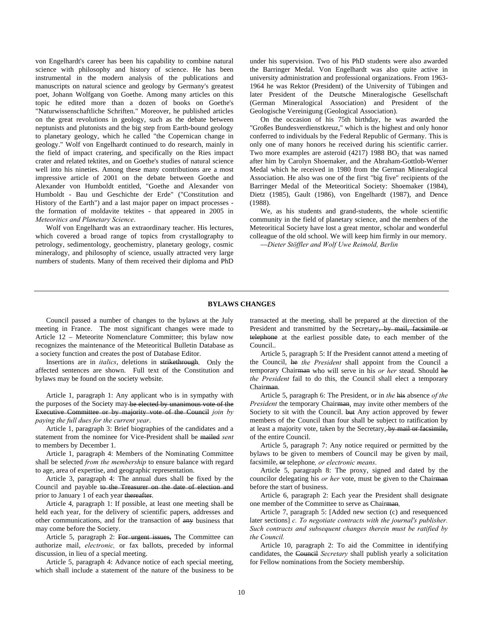von Engelhardt's career has been his capability to combine natural science with philosophy and history of science. He has been instrumental in the modern analysis of the publications and manuscripts on natural science and geology by Germany's greatest poet, Johann Wolfgang von Goethe. Among many articles on this topic he edited more than a dozen of books on Goethe's "Naturwissenschaftliche Schriften." Moreover, he published articles on the great revolutions in geology, such as the debate between neptunists and plutonists and the big step from Earth-bound geology to planetary geology, which he called "the Copernican change in geology." Wolf von Engelhardt continued to do research, mainly in the field of impact cratering, and specifically on the Ries impact crater and related tektites, and on Goethe's studies of natural science well into his nineties. Among these many contributions are a most impressive article of 2001 on the debate between Goethe and Alexander von Humboldt entitled, "Goethe and Alexander von Humboldt - Bau und Geschichte der Erde" ("Constitution and History of the Earth") and a last major paper on impact processes the formation of moldavite tektites - that appeared in 2005 in *Meteoritics and Planetary Science*.

Wolf von Engelhardt was an extraordinary teacher. His lectures, which covered a broad range of topics from crystallography to petrology, sedimentology, geochemistry, planetary geology, cosmic mineralogy, and philosophy of science, usually attracted very large numbers of students. Many of them received their diploma and PhD under his supervision. Two of his PhD students were also awarded the Barringer Medal. Von Engelhardt was also quite active in university administration and professional organizations. From 1963- 1964 he was Rektor (President) of the University of Tübingen and later President of the Deutsche Mineralogische Gesellschaft (German Mineralogical Association) and President of the Geologische Vereinigung (Geological Association).

On the occasion of his 75th birthday, he was awarded the "Großes Bundesverdienstkreuz," which is the highest and only honor conferred to individuals by the Federal Republic of Germany. This is only one of many honors he received during his scientific carrier. Two more examples are asteroid  $(4217)$  1988 BO<sub>2</sub> that was named after him by Carolyn Shoemaker, and the Abraham-Gottlob-Werner Medal which he received in 1980 from the German Mineralogical Association. He also was one of the first "big five" recipients of the Barringer Medal of the Meteoritical Society: Shoemaker (1984), Dietz (1985), Gault (1986), von Engelhardt (1987), and Dence (1988).

We, as his students and grand-students, the whole scientific community in the field of planetary science, and the members of the Meteoritical Society have lost a great mentor, scholar and wonderful colleague of the old school. We will keep him firmly in our memory.

—*Dieter Stöffler and Wolf Uwe Reimold, Berlin*

# **BYLAWS CHANGES**

 Council passed a number of changes to the bylaws at the July meeting in France. The most significant changes were made to Article 12 – Meteorite Nomenclature Committee; this bylaw now recognizes the maintenance of the Meteoritical Bulletin Database as a society function and creates the post of Database Editor.

 Insertions are in *italics*, deletions in strikethrough. Only the affected sentences are shown. Full text of the Constitution and bylaws may be found on the society website.

 Article 1, paragraph 1: Any applicant who is in sympathy with the purposes of the Society may be elected by unanimous vote of the Executive Committee or by majority vote of the Council *join by paying the full dues for the current year*.

 Article 1, paragraph 3: Brief biographies of the candidates and a statement from the nominee for Vice-President shall be mailed *sent* to members by December 1.

 Article 1, paragraph 4: Members of the Nominating Committee shall be selected *from the membership* to ensure balance with regard to age, area of expertise, and geographic representation.

 Article 3, paragraph 4: The annual dues shall be fixed by the Council and payable to the Treasurer on the date of election and prior to January 1 of each year thereafter.

 Article 4, paragraph 1: If possible, at least one meeting shall be held each year, for the delivery of scientific papers, addresses and other communications, and for the transaction of  $\frac{any}{x}$  business that may come before the Society.

 Article 5, paragraph 2: For urgent issues, The Committee can authorize mail, *electronic,* or fax ballots, preceded by informal discussion, in lieu of a special meeting.

 Article 5, paragraph 4: Advance notice of each special meeting, which shall include a statement of the nature of the business to be transacted at the meeting, shall be prepared at the direction of the President and transmitted by the Secretary, by mail, facsimile or telephone at the earliest possible date, to each member of the Council..

 Article 5, paragraph 5: If the President cannot attend a meeting of the Council, he *the President* shall appoint from the Council a temporary Chairman who will serve in his *or her* stead. Should he *the President* fail to do this, the Council shall elect a temporary Chairman.

 Article 5, paragraph 6: The President, or in *the* his absence *of the President* the temporary Chairman, may invite other members of the Society to sit with the Council. but Any action approved by fewer members of the Council than four shall be subject to ratification by at least a majority vote, taken by the Secretary, by mail or facsimile, of the entire Council.

 Article 5, paragraph 7: Any notice required or permitted by the bylaws to be given to members of Council may be given by mail, facsimile, or telephone*, or electronic means*.

 Article 5, paragraph 8: The proxy, signed and dated by the councilor delegating his *or her* vote, must be given to the Chairman before the start of business.

 Article 6, paragraph 2: Each year the President shall designate one member of the Committee to serve as Chairman.

 Article 7, paragraph 5: [Added new section (c) and resequenced later sections] *c. To negotiate contracts with the journal's publisher. Such contracts and subsequent changes therein must be ratified by the Council.*

 Article 10, paragraph 2: To aid the Committee in identifying candidates, the Council *Secretary* shall publish yearly a solicitation for Fellow nominations from the Society membership.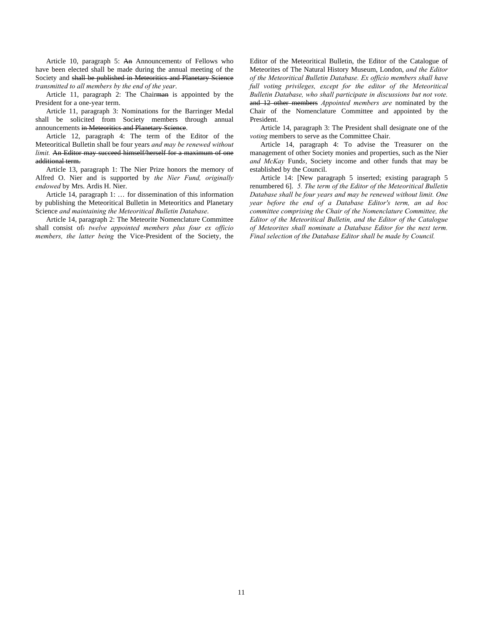Article 10, paragraph 5: An Announcement*s* of Fellows who have been elected shall be made during the annual meeting of the Society and shall be published in Meteorities and Planetary Science *transmitted to all members by the end of the year*.

Article 11, paragraph 2: The Chairman is appointed by the President for a one-year term.

 Article 11, paragraph 3: Nominations for the Barringer Medal shall be solicited from Society members through annual announcements in Meteoritics and Planetary Science.

 Article 12, paragraph 4: The term of the Editor of the Meteoritical Bulletin shall be four years *and may be renewed without limit.* An Editor may succeed himself/herself for a maximum of one additional term.

 Article 13, paragraph 1: The Nier Prize honors the memory of Alfred O. Nier and is supported by *the Nier Fund, originally endowed* by Mrs. Ardis H. Nier.

 Article 14, paragraph 1: … for dissemination of this information by publishing the Meteoritical Bulletin in Meteoritics and Planetary Science *and maintaining the Meteoritical Bulletin Database*.

 Article 14, paragraph 2: The Meteorite Nomenclature Committee shall consist of: *twelve appointed members plus four ex officio members, the latter being* the Vice-President of the Society, the Editor of the Meteoritical Bulletin, the Editor of the Catalogue of Meteorites of The Natural History Museum, London, *and the Editor of the Meteoritical Bulletin Database. Ex officio members shall have*  full voting privileges, except for the editor of the Meteoritical *Bulletin Database, who shall participate in discussions but not vote.* and 12 other members *Appointed members are* nominated by the Chair of the Nomenclature Committee and appointed by the President.

 Article 14, paragraph 3: The President shall designate one of the *voting* members to serve as the Committee Chair.

 Article 14, paragraph 4: To advise the Treasurer on the management of other Society monies and properties, such as the Nier *and McKay* Fund*s*, Society income and other funds that may be established by the Council.

 Article 14: [New paragraph 5 inserted; existing paragraph 5 renumbered 6]. *5. The term of the Editor of the Meteoritical Bulletin Database shall be four years and may be renewed without limit. One year before the end of a Database Editor's term, an ad hoc committee comprising the Chair of the Nomenclature Committee, the Editor of the Meteoritical Bulletin, and the Editor of the Catalogue of Meteorites shall nominate a Database Editor for the next term. Final selection of the Database Editor shall be made by Council.*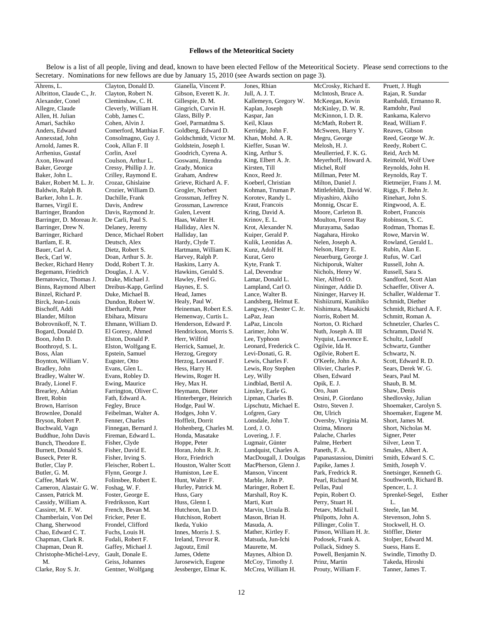# **Fellows of the Meteoritical Society**

 Below is a list of all people, living and dead, known to have been elected Fellow of the Meteoritical Society. Please send corrections to the Secretary. Nominations for new fellows are due by January 15, 2010 (see Awards section on page 3).

| Secretary. Nominations for new fellows are due by January 15, 2010 (see Awards section on page 3). |                                           |                                          |                                                 |                                          |                                             |  |  |  |  |
|----------------------------------------------------------------------------------------------------|-------------------------------------------|------------------------------------------|-------------------------------------------------|------------------------------------------|---------------------------------------------|--|--|--|--|
| Ahrens, L.                                                                                         | Clayton, Donald D.                        | Gianella, Vincent P.                     | Jones, Rhian                                    | McCrosky, Richard E.                     | Pruett, J. Hugh                             |  |  |  |  |
| Albritton, Claude C., Jr.                                                                          | Clayton, Robert N.                        | Gibson, Everett K. Jr.                   | Jull, A. J. T.                                  | McIntosh, Bruce A.                       | Rajan, R. Sundar                            |  |  |  |  |
| Alexander, Conel                                                                                   | Cleminshaw, C. H.                         | Gillespie, D. M.                         | Kallemeyn, Gregory W.                           | McKeegan, Kevin                          | Rambaldi, Ermanno R.                        |  |  |  |  |
| Allegre, Claude                                                                                    | Cleverly, William H.                      | Gingrich, Curvin H.                      | Kaplan, Joseph                                  | McKinley, D. W. R.                       | Ramdohr, Paul                               |  |  |  |  |
| Allen, H. Julian                                                                                   | Cobb, James C.                            | Glass, Billy P.                          | Kaspar, Jan                                     | McKinnon, I. D. R.                       | Rankama, Kalervo                            |  |  |  |  |
| Amari, Sachiko                                                                                     | Cohen, Alvin J.                           | Goel, Parmatdma S.                       | Keil, Klaus                                     | McMath, Robert R.                        | Read, William F.                            |  |  |  |  |
| Anders, Edward                                                                                     | Comerford, Matthias F.                    | Goldberg, Edward D.                      | Kerridge, John F.                               | McSween, Harry Y.                        | Reaves, Gibson                              |  |  |  |  |
| Annexstad, John                                                                                    | Consolmagno, Guy J.                       | Goldschmidt, Victor M.                   | Khan, Mohd. A. R.                               | Megru, George                            | Reed, George W. Jr.                         |  |  |  |  |
| Arnold, James R.                                                                                   | Cook, Allan F. II                         | Goldstein, Joseph I.                     | Kieffer, Susan W.                               | Melosh, H. J.                            | Reedy, Robert C.                            |  |  |  |  |
| Arrhenius, Gustaf                                                                                  | Corlin, Axel                              | Goodrich, Cyrena A.<br>Goswami, Jitendra | King, Arthur S.                                 | Meullerried, F. K. G.                    | Reid, Arch M.                               |  |  |  |  |
| Axon, Howard                                                                                       | Coulson, Arthur L.                        |                                          | King, Elbert A. Jr.                             | Meyerhoff, Howard A.                     | Reimold, Wolf Uwe                           |  |  |  |  |
| Baker, George                                                                                      | Cressy, Phillip J. Jr.                    | Grady, Monica<br>Graham, Andrew          | Kirsten, Till<br>Knox, Reed Jr.                 | Michel, Rolf<br>Millman, Peter M.        | Reynolds, John H.                           |  |  |  |  |
| Baker, John L.<br>Baker, Robert M. L. Jr.                                                          | Crilley, Raymond E.<br>Crozaz, Ghislaine  | Grieve, Richard A. F.                    | Koeberl, Christian                              | Milton, Daniel J.                        | Reynolds, Ray T.<br>Rietmeijer, Frans J. M. |  |  |  |  |
| Baldwin, Ralph B.                                                                                  | Crozier, William D.                       | Grogler, Norbert                         | Kohman, Truman P.                               | Mittlefehldt, David W.                   | Riggs, F. Behn Jr.                          |  |  |  |  |
| Barker, John L. Jr.                                                                                | Dachille, Frank                           | Grossman, Jeffrey N.                     | Korotev, Randy L.                               | Miyashiro, Akiho                         | Rinehart, John S.                           |  |  |  |  |
| Barnes, Virgil E.                                                                                  | Davis, Andrew                             | Grossman, Lawrence                       | Kraut, Francois                                 | Monnig, Oscar E.                         | Ringwood, A. E.                             |  |  |  |  |
| Barringer, Brandon                                                                                 | Davis, Raymond Jr.                        | Gulen, Levent                            | Kring, David A.                                 | Moore, Carleton B.                       | Robert, Francois                            |  |  |  |  |
| Barringer, D. Moreau Jr.                                                                           | De Carli, Paul S.                         | Haas, Walter H.                          | Krinov, E. L.                                   | Moulton, Forest Ray                      | Robinson, S.C.                              |  |  |  |  |
| Barringer, Drew N.                                                                                 | Delaney, Jeremy                           | Halliday, Alex N.                        | Krot, Alexander N.                              | Murayama, Sadao                          | Rodman, Thomas E.                           |  |  |  |  |
| Barringer, Richard                                                                                 | Dence, Michael Robert                     | Halliday, Ian                            | Kuiper, Gerald P.                               | Nagahara, Hiroko                         | Rowe, Marvin W.                             |  |  |  |  |
| Bartlam, E. R.                                                                                     | Deutsch, Alex                             | Hardy, Clyde T.                          | Kulik, Leonidas A.                              | Nelen, Joseph A.                         | Rowland, Gerald L.                          |  |  |  |  |
| Bauer, Carl A.                                                                                     | Dietz, Robert S.                          | Hartmann, William K.                     | Kunz, Adolf H.                                  | Nelson, Harry E.                         | Rubin, Alan E.                              |  |  |  |  |
| Beck, Carl W.                                                                                      | Doan, Arthur S. Jr.                       | Harvey, Ralph P.                         | Kurat, Gero                                     | Neuerburg, George J.                     | Rufus, W. Carl                              |  |  |  |  |
| Becker, Richard Henry                                                                              | Dodd, Robert T. Jr.                       | Haskins, Larry A.                        | Kyte, Frank T.                                  | Nichiporuk, Walter                       | Russell, John A.                            |  |  |  |  |
| Begemann, Friedrich                                                                                | Douglas, J. A. V.                         | Hawkins, Gerald S.                       | Lal, Devendrar                                  | Nichols, Henry W.                        | Russell, Sara S.                            |  |  |  |  |
| Bernatowicz, Thomas J.                                                                             | Drake, Michael J.                         | Hawley, Fred G.                          | Lamar, Donald L.                                | Nier, Alfred O.                          | Sandford, Scott Alan                        |  |  |  |  |
| Binns, Raymond Albert                                                                              | Dreibus-Kapp, Gerlind                     | Haynes, E. S.                            | Lampland, Carl O.                               | Nininger, Addie D.                       | Schaeffer, Oliver A.                        |  |  |  |  |
| Binzel, Richard P.                                                                                 | Duke, Michael B.                          | Head, James                              | Lance, Walter B.                                | Nininger, Harvey H.                      | Schaller, Waldemar T.                       |  |  |  |  |
| Birck, Jean-Louis                                                                                  | Dundon, Robert W.                         | Healy, Paul W.                           | Landsberg, Helmut E.                            | Nishiizumi, Kunihiko                     | Schmidt, Diether                            |  |  |  |  |
| Bischoff, Addi                                                                                     | Eberhardt, Peter                          | Heineman, Robert E.S.                    | Langway, Chester C. Jr.                         | Nishimura, Masakichi                     | Schmidt, Richard A. F.                      |  |  |  |  |
| Blander, Milton                                                                                    | Ebihara, Mitsuru                          | Hemenway, Curtis L.                      | LaPaz, Jean                                     | Norris, Robert M.                        | Schmitt, Roman A.                           |  |  |  |  |
| Bobrovnikoff, N.T.                                                                                 | Ehmann, William D.                        | Henderson, Edward P.                     | LaPaz, Lincoln                                  | Norton, O. Richard                       | Schnetzler, Charles C.                      |  |  |  |  |
| Bogard, Donald D.                                                                                  | El Goresy, Ahmed                          | Hendrickson, Morris S.                   | Larimer, John W.                                | Nuth, Joseph A. III                      | Schramm, David N.                           |  |  |  |  |
| Boon, John D.                                                                                      | Elston, Donald P.                         | Herr, Wilfrid                            | Lee, Typhoon                                    | Nyquist, Lawrence E.                     | Schultz, Ludolf                             |  |  |  |  |
| Boothroyd, S. L.                                                                                   | Elston, Wolfgang E.                       | Herrick, Samuel, Jr.                     | Leonard, Frederick C.                           | Ogilvie, Ida H.                          | Schwartz, Gunther                           |  |  |  |  |
| Boss, Alan                                                                                         | Epstein, Samuel                           | Herzog, Gregory                          | Levi-Donati, G. R.                              | Ogilvie, Robert E.                       | Schwartz, N.                                |  |  |  |  |
| Boynton, William V.                                                                                | Eugster, Otto                             | Herzog, Leonard F.                       | Lewis, Charles F.                               | O'Keefe, John A.                         | Scott, Edward R. D.                         |  |  |  |  |
| Bradley, John                                                                                      | Evans, Glen L.                            | Hess, Harry H.                           | Lewis, Roy Stephen                              | Olivier, Charles P.                      | Sears, Derek W. G.                          |  |  |  |  |
| Bradley, Walter W.                                                                                 | Evans, Robley D.                          | Hewins, Roger H.                         | Ley, Willy                                      | Olsen, Edward                            | Sears, Paul M.                              |  |  |  |  |
| Brady, Lionel F.                                                                                   | Ewing, Maurice                            | Hey, Max H.                              | Lindblad, Bertil A.                             | Opik, E. J.                              | Shaub, B. M.                                |  |  |  |  |
| Brearley, Adrian                                                                                   | Farrington, Oliver C.                     | Heymann, Dieter                          | Linsley, Earle G.                               | Oro, Juan                                | Shaw, Denis                                 |  |  |  |  |
| Brett, Robin                                                                                       | Fath, Edward A.                           | Hinterberger, Heinrich                   | Lipman, Charles B.                              | Orsini, P. Giordano                      | Shedlovsky, Julian                          |  |  |  |  |
| Brown, Harrison                                                                                    | Fegley, Bruce                             | Hodge, Paul W.                           | Lipschutz, Michael E.                           | Ostro, Steven J.                         | Shoemaker, Carolyn S.                       |  |  |  |  |
| Brownlee, Donald                                                                                   | Feibelman, Walter A.                      | Hodges, John V.                          | Lofgren, Gary                                   | Ott, Ulrich                              | Shoemaker, Eugene M.                        |  |  |  |  |
| Bryson, Robert P.                                                                                  | Fenner, Charles                           | Hoffleit, Dorrit                         | Lonsdale, John T.                               | Oversby, Virginia M.                     | Short, James M.                             |  |  |  |  |
| Buchwald, Vagn                                                                                     | Finnegan, Bernard J.                      | Hohenberg, Charles M.                    | Lord, J.O.                                      | Ozima, Minoru                            | Short, Nicholas M.                          |  |  |  |  |
| Buddhue, John Davis                                                                                | Fireman, Edward L.                        | Honda, Masatake                          | Lovering, J. F.                                 | Palache, Charles                         | Signer, Peter                               |  |  |  |  |
| Bunch, Theodore E.                                                                                 | Fisher, Clyde                             | Hoppe, Peter                             | Lugmair, Günter                                 | Palme, Herbert                           | Silver, Leon T.                             |  |  |  |  |
| Burnett, Donald S.                                                                                 | Fisher, David E.                          | Horan, John R. Jr.                       | Lundquist, Charles A.<br>MacDougall, J. Doulgas | Paneth, F. A.<br>Papanastassiou, Dimitri | Smales, Albert A.                           |  |  |  |  |
| Buseck, Peter R.<br>Butler, Clay P.                                                                | Fisher, Irving S.<br>Fleischer, Robert L. | Horz, Friedrich<br>Houston, Walter Scott | MacPherson, Glenn J.                            | Papike, James J.                         | Smith, Edward S. C.<br>Smith, Joseph V.     |  |  |  |  |
| Butler, G. M.                                                                                      | Flynn, George J.                          | Humiston, Lee E.                         | Manson, Vincent                                 | Park, Fredrick R.                        | Snetsinger, Kenneth G.                      |  |  |  |  |
| Caffee, Mark W.                                                                                    | Folinsbee, Robert E.                      | Hunt, Walter F.                          | Marble, John P.                                 | Pearl, Richard M.                        | Southworth, Richard B.                      |  |  |  |  |
| Cameron, Alastair G. W.                                                                            | Foshag, W.F.                              | Hurley, Patrick M.                       | Maringer, Robert E.                             | Pellas, Paul                             | Spencer, L. J.                              |  |  |  |  |
| Cassen, Patrick M.                                                                                 | Foster, George E.                         | Huss, Gary                               | Marshall, Roy K.                                | Pepin, Robert O.                         | Sprenkel-Segel,<br>Esther                   |  |  |  |  |
| Cassidy, William A.                                                                                | Fredriksson, Kurt                         | Huss, Glenn I.                           | Marti, Kurt                                     | Perry, Stuart H.                         | L.                                          |  |  |  |  |
| Cassirer, M. F. W.                                                                                 | French, Bevan M.                          | Hutcheon, Ian D.                         | Marvin, Ursula B.                               | Petaev, Michail I.                       | Steele, Ian M.                              |  |  |  |  |
| Chamberlain, Von Del                                                                               | Fricker, Peter E.                         | Hutchison, Robert                        | Mason, Brian H.                                 | Philpotts, John A.                       | Stevenson, John S.                          |  |  |  |  |
| Chang, Sherwood                                                                                    | Frondel, Clifford                         | Ikeda, Yukio                             | Masuda, A.                                      | Pillinger, Colin T.                      | Stockwell, H. O.                            |  |  |  |  |
| Chao, Edward C. T.                                                                                 | Fuchs, Louis H.                           | Innes, Morris J. S.                      | Mather, Kirtley F.                              | Pinson, William H. Jr.                   | Stöffler, Dieter                            |  |  |  |  |
| Chapman, Clark R.                                                                                  | Fudali, Robert F.                         | Ireland, Trevor R.                       | Matsuda, Jun-Ichi                               | Podosek, Frank A.                        | Stolper, Edward M.                          |  |  |  |  |
| Chapman, Dean R.                                                                                   | Gaffey, Michael J.                        | Jagoutz, Emil                            | Maurette, M.                                    | Pollack, Sidney S.                       | Suess, Hans E.                              |  |  |  |  |
| Christophe-Michel-Levy,                                                                            | Gault, Donale E.                          | James, Odette                            | Maynes, Albion D.                               | Powell, Benjamin N.                      | Swindle, Timothy D.                         |  |  |  |  |
| M.                                                                                                 | Geiss, Johannes                           | Jarosewich, Eugene                       | McCoy, Timothy J.                               | Prinz, Martin                            | Takeda, Hiroshi                             |  |  |  |  |

Clarke, Roy S. Jr.

Gentner, Wolfgang

McCrea, William H.

Prouty, William F.

Tanner, James T.

Jessberger, Elmar K.